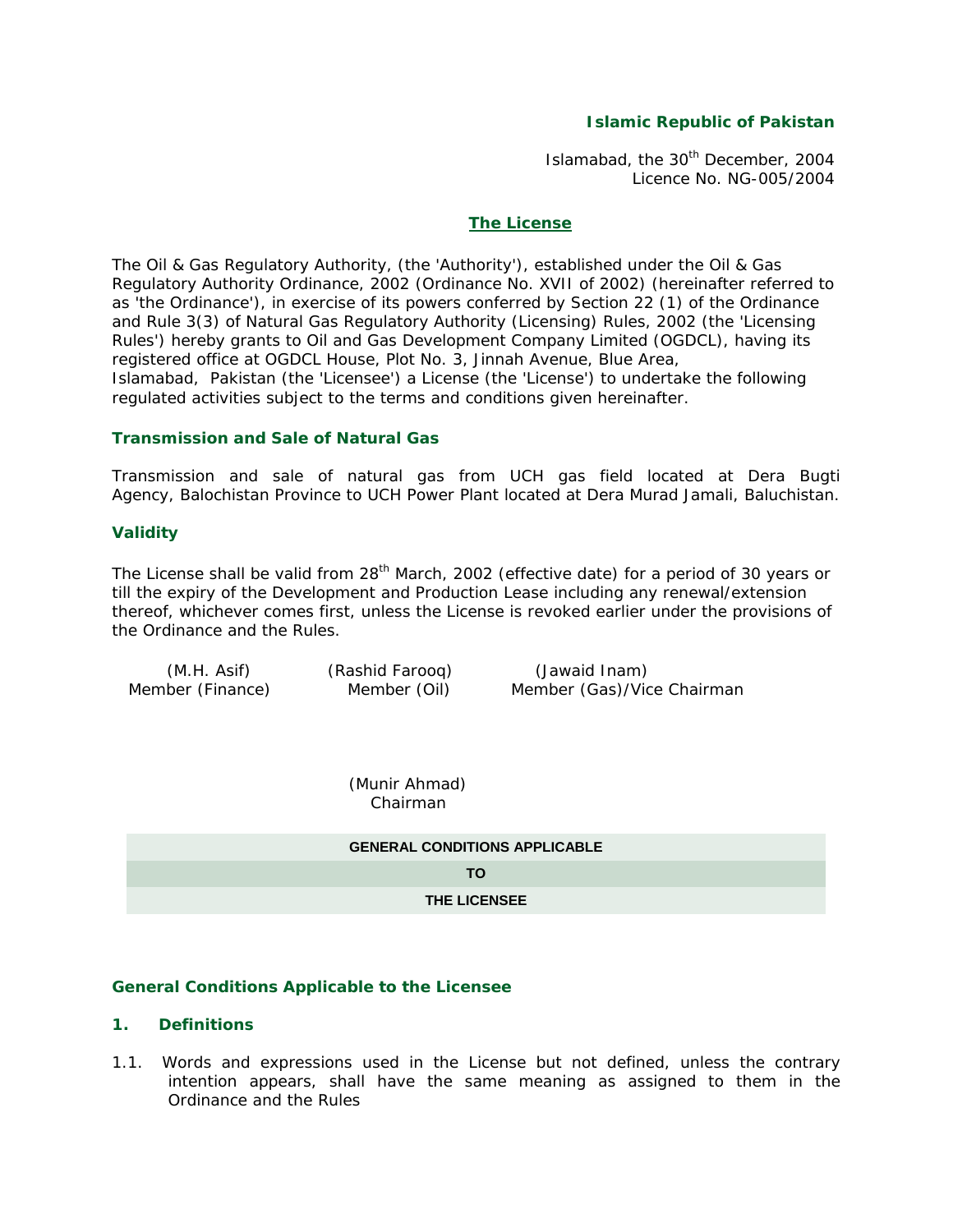## **Islamic Republic of Pakistan**

Islamabad, the 30<sup>th</sup> December, 2004 Licence No. NG-005/2004

#### **The License**

The Oil & Gas Regulatory Authority, (the 'Authority'), established under the Oil & Gas Regulatory Authority Ordinance, 2002 (Ordinance No. XVII of 2002) (hereinafter referred to as 'the Ordinance'), in exercise of its powers conferred by Section 22 (1) of the Ordinance and Rule 3(3) of Natural Gas Regulatory Authority (Licensing) Rules, 2002 (the 'Licensing Rules') hereby grants to Oil and Gas Development Company Limited (OGDCL), having its registered office at OGDCL House, Plot No. 3, Jinnah Avenue, Blue Area, Islamabad, Pakistan (the 'Licensee') a License (the 'License') to undertake the following regulated activities subject to the terms and conditions given hereinafter.

### **Transmission and Sale of Natural Gas**

Transmission and sale of natural gas from UCH gas field located at Dera Bugti Agency, Balochistan Province to UCH Power Plant located at Dera Murad Jamali, Baluchistan.

#### **Validity**

The License shall be valid from  $28<sup>th</sup>$  March, 2002 (effective date) for a period of 30 years or till the expiry of the Development and Production Lease including any renewal/extension thereof, whichever comes first, unless the License is revoked earlier under the provisions of the Ordinance and the Rules.

| (M.H. Asif)      | (Rashid Faroog) |  |
|------------------|-----------------|--|
| Member (Finance) | Member (Oil)    |  |

(Jawaid Inam) Member (Gas)/Vice Chairman

 (Munir Ahmad) Chairman

| <b>GENERAL CONDITIONS APPLICABLE</b> |
|--------------------------------------|
| TO.                                  |
| <b>THE LICENSEE</b>                  |

#### **General Conditions Applicable to the Licensee**

#### **1. Definitions**

1.1. Words and expressions used in the License but not defined, unless the contrary intention appears, shall have the same meaning as assigned to them in the Ordinance and the Rules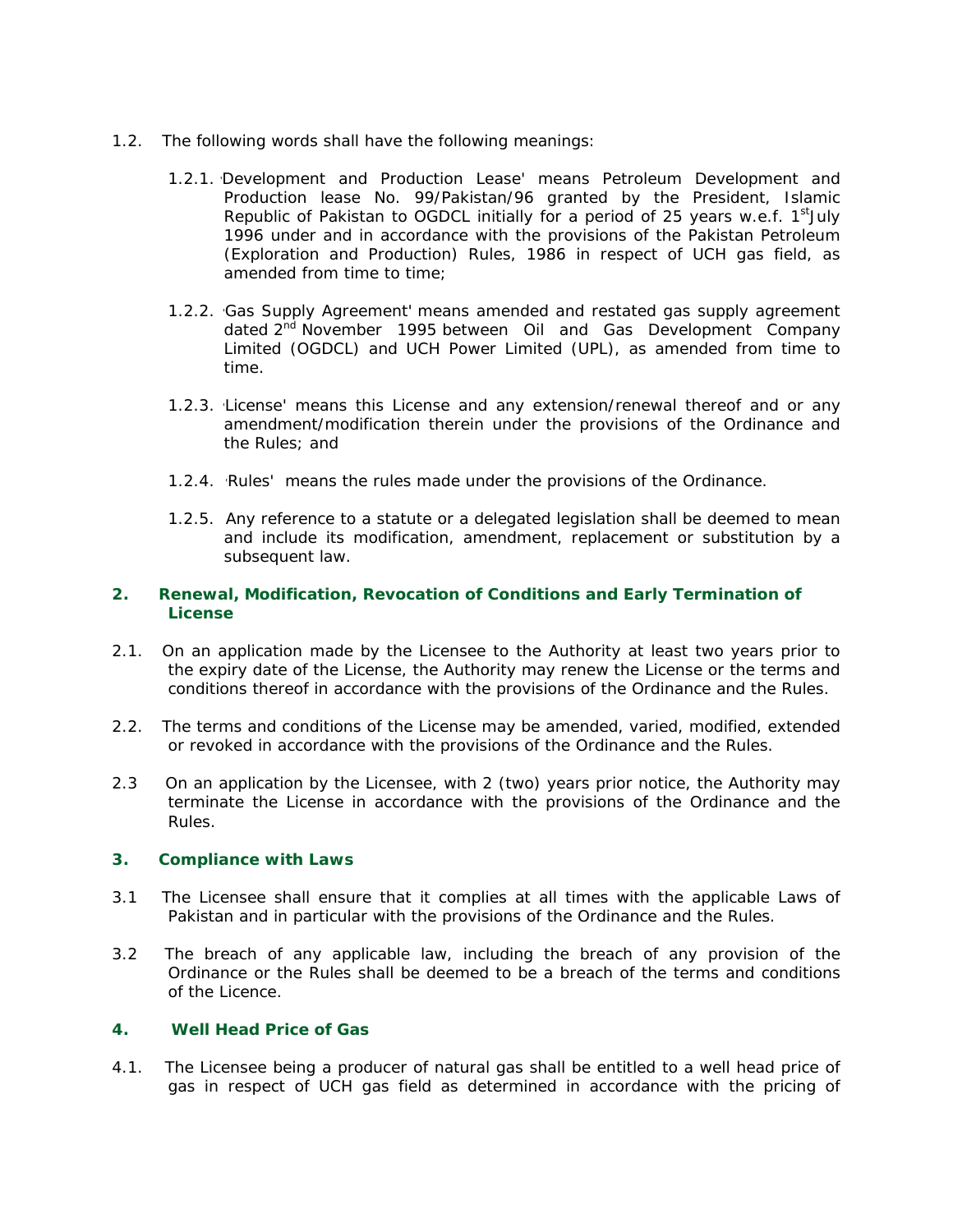- 1.2. The following words shall have the following meanings:
	- 1.2.1. 'Development and Production Lease' means Petroleum Development and Production lease No. 99/Pakistan/96 granted by the President, Islamic Republic of Pakistan to OGDCL initially for a period of 25 years w.e.f.  $1<sup>st</sup>$ July 1996 under and in accordance with the provisions of the Pakistan Petroleum (Exploration and Production) Rules, 1986 in respect of UCH gas field, as amended from time to time:
	- 1.2.2. 'Gas Supply Agreement' means amended and restated gas supply agreement dated 2<sup>nd</sup> November 1995 between Oil and Gas Development Company Limited (OGDCL) and UCH Power Limited (UPL), as amended from time to time.
	- 1.2.3. 'License' means this License and any extension/renewal thereof and or any amendment/modification therein under the provisions of the Ordinance and the Rules; and
	- 1.2.4. 'Rules' means the rules made under the provisions of the Ordinance.
	- 1.2.5. Any reference to a statute or a delegated legislation shall be deemed to mean and include its modification, amendment, replacement or substitution by a subsequent law.

## **2. Renewal, Modification, Revocation of Conditions and Early Termination of License**

- 2.1. On an application made by the Licensee to the Authority at least two years prior to the expiry date of the License, the Authority may renew the License or the terms and conditions thereof in accordance with the provisions of the Ordinance and the Rules.
- 2.2. The terms and conditions of the License may be amended, varied, modified, extended or revoked in accordance with the provisions of the Ordinance and the Rules.
- 2.3 On an application by the Licensee, with 2 (two) years prior notice, the Authority may terminate the License in accordance with the provisions of the Ordinance and the Rules.

#### **3. Compliance with Laws**

- 3.1 The Licensee shall ensure that it complies at all times with the applicable Laws of Pakistan and in particular with the provisions of the Ordinance and the Rules.
- 3.2 The breach of any applicable law, including the breach of any provision of the Ordinance or the Rules shall be deemed to be a breach of the terms and conditions of the Licence.

## **4. Well Head Price of Gas**

4.1. The Licensee being a producer of natural gas shall be entitled to a well head price of gas in respect of UCH gas field as determined in accordance with the pricing of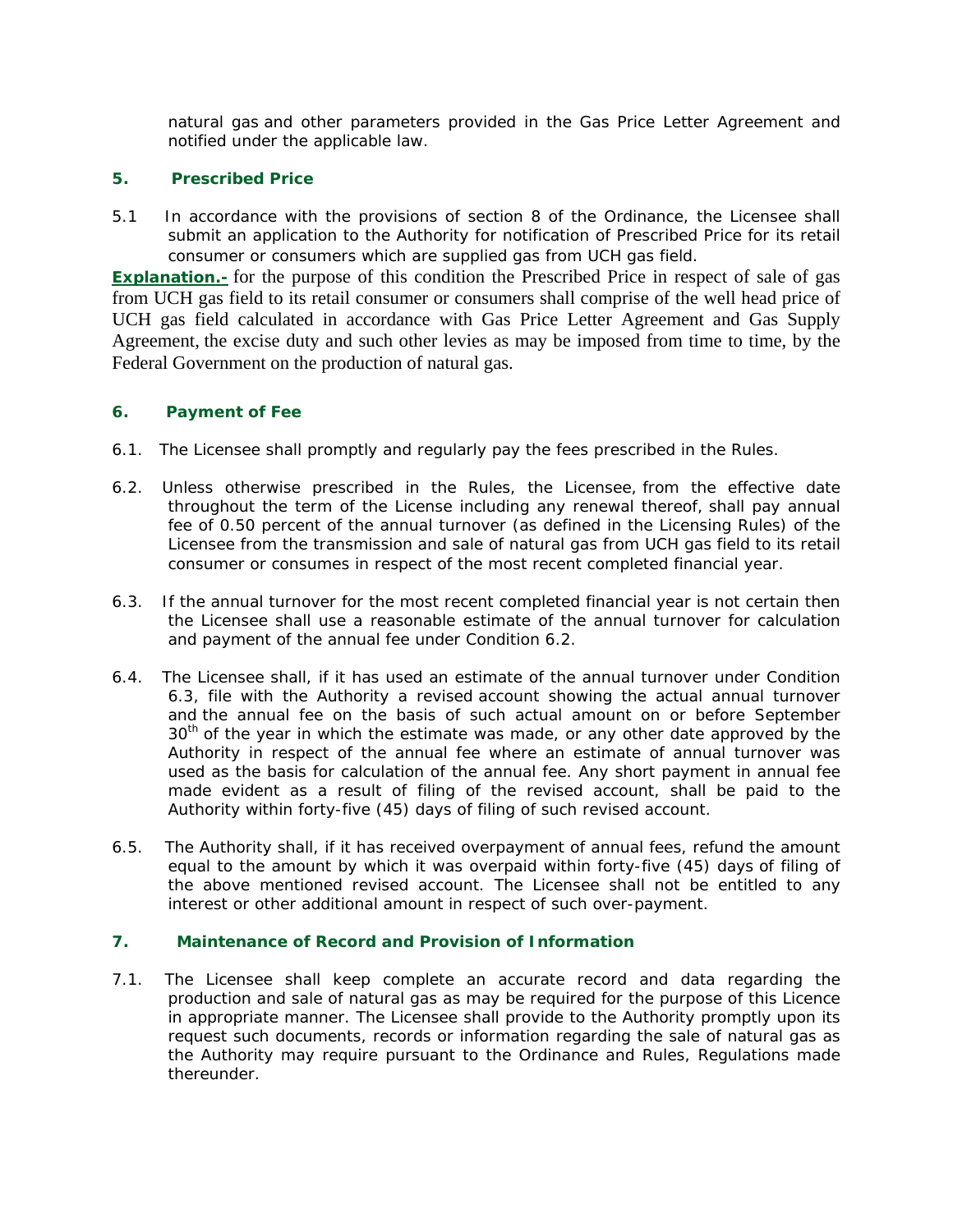natural gas and other parameters provided in the Gas Price Letter Agreement and notified under the applicable law.

## **5. Prescribed Price**

5.1 In accordance with the provisions of section 8 of the Ordinance, the Licensee shall submit an application to the Authority for notification of Prescribed Price for its retail consumer or consumers which are supplied gas from UCH gas field.

**Explanation.-** for the purpose of this condition the Prescribed Price in respect of sale of gas from UCH gas field to its retail consumer or consumers shall comprise of the well head price of UCH gas field calculated in accordance with Gas Price Letter Agreement and Gas Supply Agreement, the excise duty and such other levies as may be imposed from time to time, by the Federal Government on the production of natural gas.

## **6. Payment of Fee**

- 6.1. The Licensee shall promptly and regularly pay the fees prescribed in the Rules.
- 6.2. Unless otherwise prescribed in the Rules, the Licensee, from the effective date throughout the term of the License including any renewal thereof, shall pay annual fee of 0.50 percent of the annual turnover (as defined in the Licensing Rules) of the Licensee from the transmission and sale of natural gas from UCH gas field to its retail consumer or consumes in respect of the most recent completed financial year.
- 6.3. If the annual turnover for the most recent completed financial year is not certain then the Licensee shall use a reasonable estimate of the annual turnover for calculation and payment of the annual fee under Condition 6.2.
- 6.4. The Licensee shall, if it has used an estimate of the annual turnover under Condition 6.3, file with the Authority a revised account showing the actual annual turnover and the annual fee on the basis of such actual amount on or before September  $30<sup>th</sup>$  of the year in which the estimate was made, or any other date approved by the Authority in respect of the annual fee where an estimate of annual turnover was used as the basis for calculation of the annual fee. Any short payment in annual fee made evident as a result of filing of the revised account, shall be paid to the Authority within forty-five (45) days of filing of such revised account.
- 6.5. The Authority shall, if it has received overpayment of annual fees, refund the amount equal to the amount by which it was overpaid within forty-five (45) days of filing of the above mentioned revised account. The Licensee shall not be entitled to any interest or other additional amount in respect of such over-payment.

# **7. Maintenance of Record and Provision of Information**

7.1. The Licensee shall keep complete an accurate record and data regarding the production and sale of natural gas as may be required for the purpose of this Licence in appropriate manner. The Licensee shall provide to the Authority promptly upon its request such documents, records or information regarding the sale of natural gas as the Authority may require pursuant to the Ordinance and Rules, Regulations made thereunder.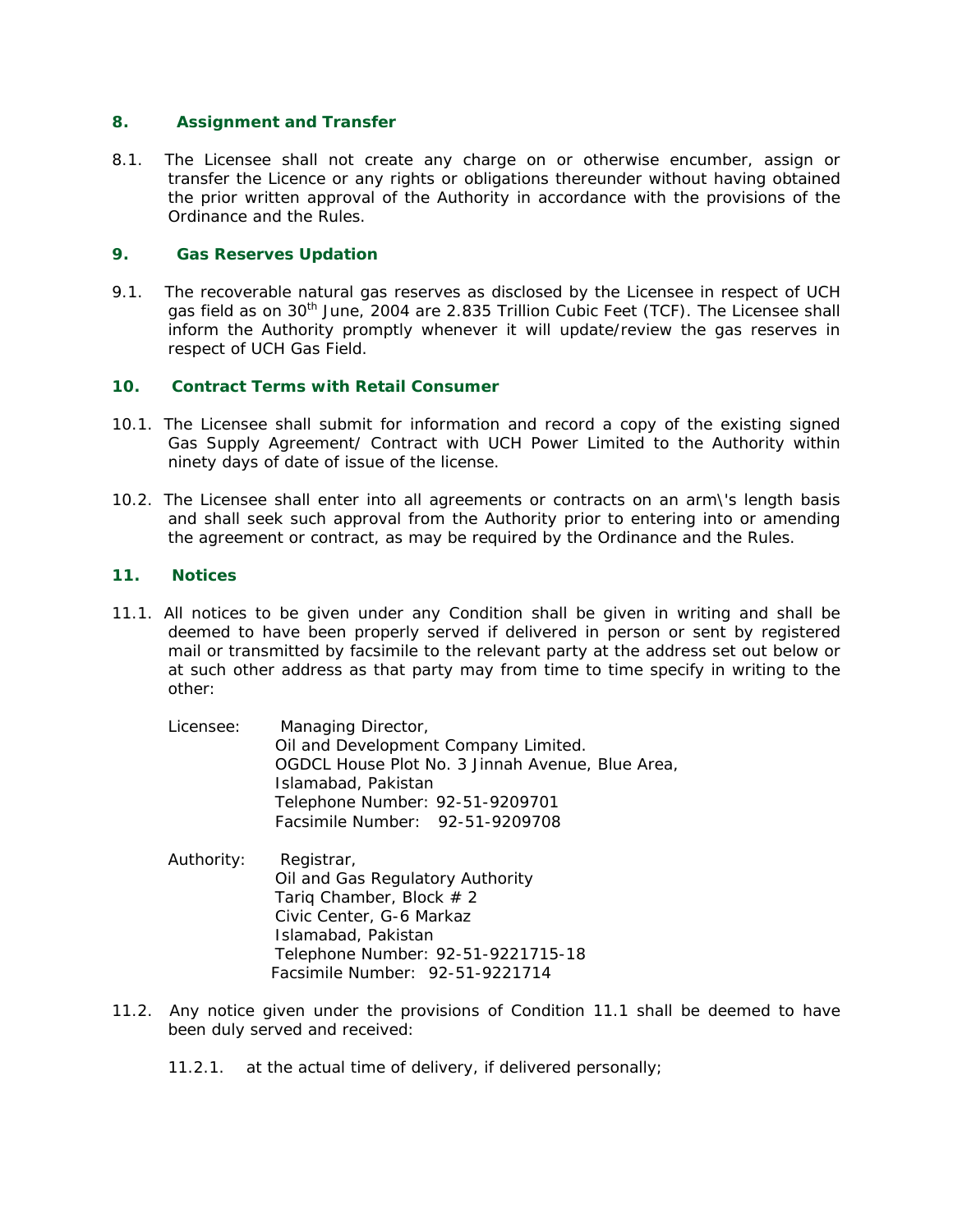## **8. Assignment and Transfer**

8.1. The Licensee shall not create any charge on or otherwise encumber, assign or transfer the Licence or any rights or obligations thereunder without having obtained the prior written approval of the Authority in accordance with the provisions of the Ordinance and the Rules.

## **9. Gas Reserves Updation**

9.1. The recoverable natural gas reserves as disclosed by the Licensee in respect of UCH gas field as on 30<sup>th</sup> June, 2004 are 2.835 Trillion Cubic Feet (TCF). The Licensee shall inform the Authority promptly whenever it will update/review the gas reserves in respect of UCH Gas Field.

## **10. Contract Terms with Retail Consumer**

- 10.1. The Licensee shall submit for information and record a copy of the existing signed Gas Supply Agreement/ Contract with UCH Power Limited to the Authority within ninety days of date of issue of the license.
- 10.2. The Licensee shall enter into all agreements or contracts on an arm\'s length basis and shall seek such approval from the Authority prior to entering into or amending the agreement or contract, as may be required by the Ordinance and the Rules.

### **11. Notices**

11.1. All notices to be given under any Condition shall be given in writing and shall be deemed to have been properly served if delivered in person or sent by registered mail or transmitted by facsimile to the relevant party at the address set out below or at such other address as that party may from time to time specify in writing to the other:

| Licensee: | Managing Director,                               |
|-----------|--------------------------------------------------|
|           | Oil and Development Company Limited.             |
|           | OGDCL House Plot No. 3 Jinnah Avenue, Blue Area, |
|           | Islamabad, Pakistan                              |
|           | Telephone Number: 92-51-9209701                  |
|           | Facsimile Number: 92-51-9209708                  |

- Authority: Registrar, Oil and Gas Regulatory Authority Tariq Chamber, Block # 2 Civic Center, G-6 Markaz Islamabad, Pakistan Telephone Number: 92-51-9221715-18 Facsimile Number: 92-51-9221714
- 11.2. Any notice given under the provisions of Condition 11.1 shall be deemed to have been duly served and received:
	- 11.2.1. at the actual time of delivery, if delivered personally;